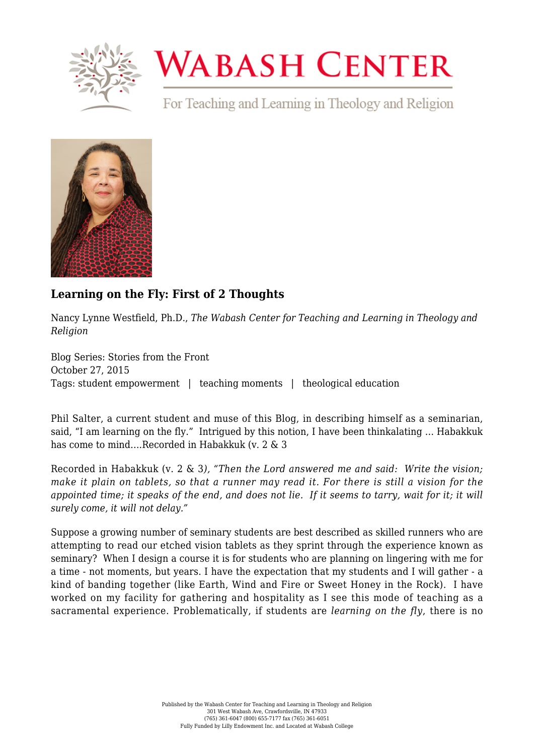

## **WABASH CENTER**

For Teaching and Learning in Theology and Religion



## **[Learning on the Fly: First of 2 Thoughts](https://www.wabashcenter.wabash.edu/2015/10/learning-on-the-fly-first-of-2-thoughts/)**

Nancy Lynne Westfield, Ph.D., *The Wabash Center for Teaching and Learning in Theology and Religion*

Blog Series: Stories from the Front October 27, 2015 Tags: student empowerment | teaching moments | theological education

Phil Salter, a current student and muse of this Blog, in describing himself as a seminarian, said, "I am learning on the fly." Intrigued by this notion, I have been thinkalating … Habakkuk has come to mind….Recorded in Habakkuk (v. 2 & 3

Recorded in Habakkuk (v. 2 & 3*), "Then the Lord answered me and said: Write the vision; make it plain on tablets, so that a runner may read it. For there is still a vision for the appointed time; it speaks of the end, and does not lie. If it seems to tarry, wait for it; it will surely come, it will not delay."*

Suppose a growing number of seminary students are best described as skilled runners who are attempting to read our etched vision tablets as they sprint through the experience known as seminary? When I design a course it is for students who are planning on lingering with me for a time - not moments, but years. I have the expectation that my students and I will gather - a kind of banding together (like Earth, Wind and Fire or Sweet Honey in the Rock). I have worked on my facility for gathering and hospitality as I see this mode of teaching as a sacramental experience. Problematically, if students are *learning on the fly*, there is no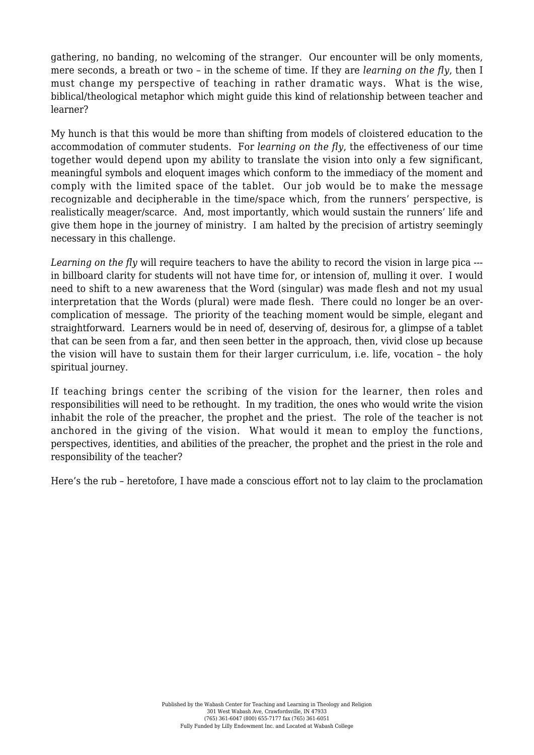gathering, no banding, no welcoming of the stranger. Our encounter will be only moments, mere seconds, a breath or two – in the scheme of time. If they are *learning on the fly*, then I must change my perspective of teaching in rather dramatic ways. What is the wise, biblical/theological metaphor which might guide this kind of relationship between teacher and learner?

My hunch is that this would be more than shifting from models of cloistered education to the accommodation of commuter students. For *learning on the fly*, the effectiveness of our time together would depend upon my ability to translate the vision into only a few significant, meaningful symbols and eloquent images which conform to the immediacy of the moment and comply with the limited space of the tablet. Our job would be to make the message recognizable and decipherable in the time/space which, from the runners' perspective, is realistically meager/scarce. And, most importantly, which would sustain the runners' life and give them hope in the journey of ministry. I am halted by the precision of artistry seemingly necessary in this challenge.

*Learning on the fly* will require teachers to have the ability to record the vision in large pica -- in billboard clarity for students will not have time for, or intension of, mulling it over. I would need to shift to a new awareness that the Word (singular) was made flesh and not my usual interpretation that the Words (plural) were made flesh. There could no longer be an overcomplication of message. The priority of the teaching moment would be simple, elegant and straightforward. Learners would be in need of, deserving of, desirous for, a glimpse of a tablet that can be seen from a far, and then seen better in the approach, then, vivid close up because the vision will have to sustain them for their larger curriculum, i.e. life, vocation – the holy spiritual journey.

If teaching brings center the scribing of the vision for the learner, then roles and responsibilities will need to be rethought. In my tradition, the ones who would write the vision inhabit the role of the preacher, the prophet and the priest. The role of the teacher is not anchored in the giving of the vision. What would it mean to employ the functions, perspectives, identities, and abilities of the preacher, the prophet and the priest in the role and responsibility of the teacher?

Here's the rub – heretofore, I have made a conscious effort not to lay claim to the proclamation